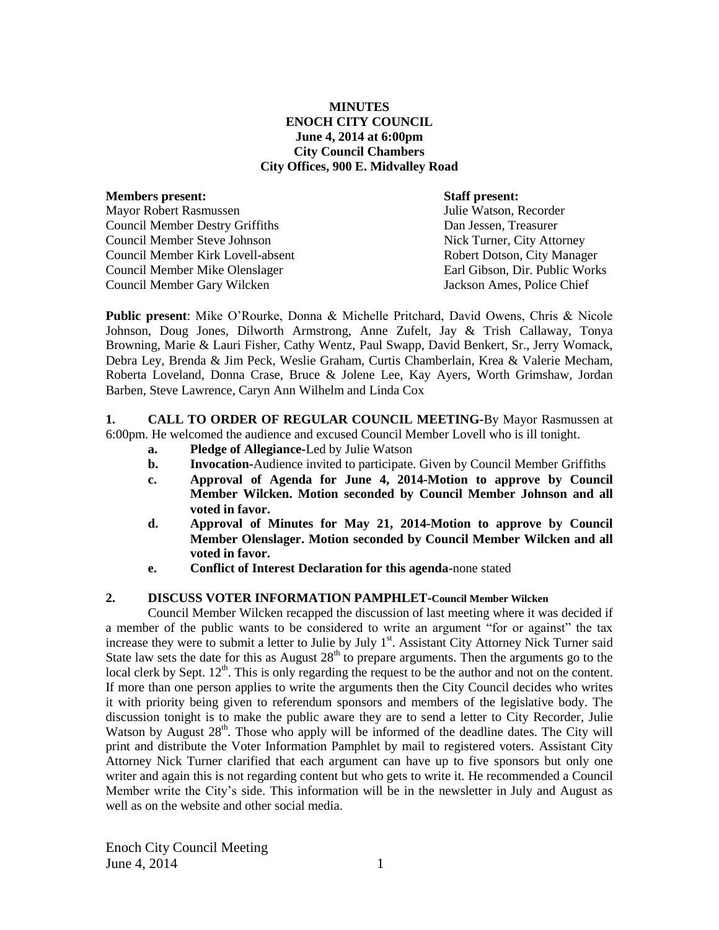## **MINUTES ENOCH CITY COUNCIL June 4, 2014 at 6:00pm City Council Chambers City Offices, 900 E. Midvalley Road**

| <b>Members present:</b>                | <b>Staff present:</b>          |
|----------------------------------------|--------------------------------|
| Mayor Robert Rasmussen                 | Julie Watson, Recorder         |
| <b>Council Member Destry Griffiths</b> | Dan Jessen, Treasurer          |
| Council Member Steve Johnson           | Nick Turner, City Attorney     |
| Council Member Kirk Lovell-absent      | Robert Dotson, City Manager    |
| Council Member Mike Olenslager         | Earl Gibson, Dir. Public Works |
| Council Member Gary Wilcken            | Jackson Ames, Police Chief     |

**Public present**: Mike O'Rourke, Donna & Michelle Pritchard, David Owens, Chris & Nicole Johnson, Doug Jones, Dilworth Armstrong, Anne Zufelt, Jay & Trish Callaway, Tonya Browning, Marie & Lauri Fisher, Cathy Wentz, Paul Swapp, David Benkert, Sr., Jerry Womack, Debra Ley, Brenda & Jim Peck, Weslie Graham, Curtis Chamberlain, Krea & Valerie Mecham, Roberta Loveland, Donna Crase, Bruce & Jolene Lee, Kay Ayers, Worth Grimshaw, Jordan Barben, Steve Lawrence, Caryn Ann Wilhelm and Linda Cox

**1. CALL TO ORDER OF REGULAR COUNCIL MEETING-**By Mayor Rasmussen at 6:00pm. He welcomed the audience and excused Council Member Lovell who is ill tonight.

- **a. Pledge of Allegiance-**Led by Julie Watson
- **b. Invocation-**Audience invited to participate. Given by Council Member Griffiths
- **c. Approval of Agenda for June 4, 2014-Motion to approve by Council Member Wilcken. Motion seconded by Council Member Johnson and all voted in favor.**
- **d. Approval of Minutes for May 21, 2014-Motion to approve by Council Member Olenslager. Motion seconded by Council Member Wilcken and all voted in favor.**
- **e. Conflict of Interest Declaration for this agenda-**none stated

## **2. DISCUSS VOTER INFORMATION PAMPHLET-Council Member Wilcken**

Council Member Wilcken recapped the discussion of last meeting where it was decided if a member of the public wants to be considered to write an argument "for or against" the tax increase they were to submit a letter to Julie by July 1st. Assistant City Attorney Nick Turner said State law sets the date for this as August  $28<sup>th</sup>$  to prepare arguments. Then the arguments go to the local clerk by Sept. 12<sup>th</sup>. This is only regarding the request to be the author and not on the content. If more than one person applies to write the arguments then the City Council decides who writes it with priority being given to referendum sponsors and members of the legislative body. The discussion tonight is to make the public aware they are to send a letter to City Recorder, Julie Watson by August 28<sup>th</sup>. Those who apply will be informed of the deadline dates. The City will print and distribute the Voter Information Pamphlet by mail to registered voters. Assistant City Attorney Nick Turner clarified that each argument can have up to five sponsors but only one writer and again this is not regarding content but who gets to write it. He recommended a Council Member write the City's side. This information will be in the newsletter in July and August as well as on the website and other social media.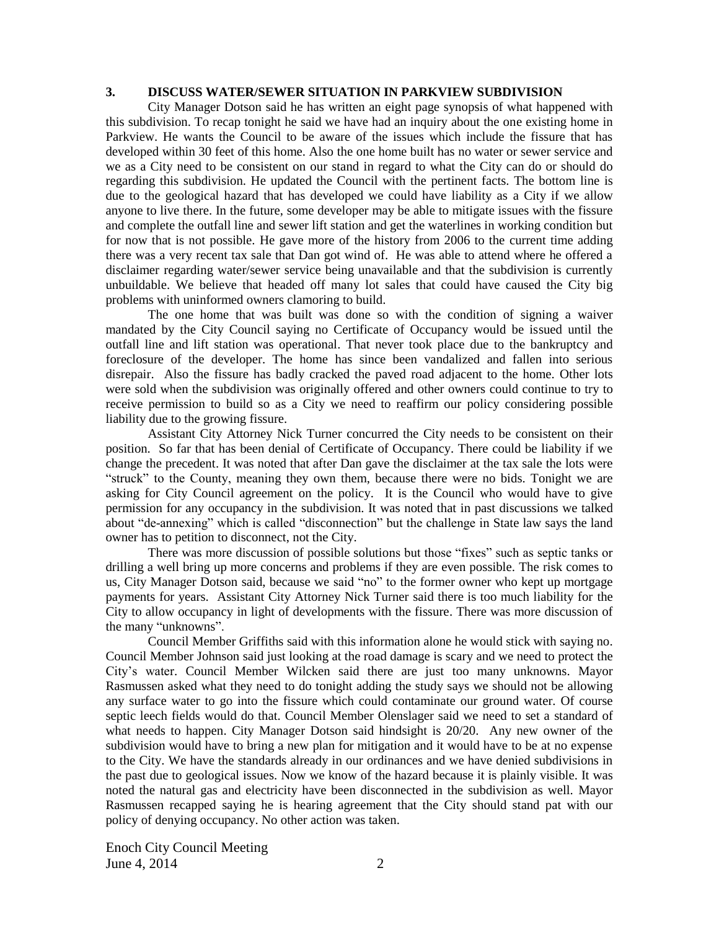### **3. DISCUSS WATER/SEWER SITUATION IN PARKVIEW SUBDIVISION**

City Manager Dotson said he has written an eight page synopsis of what happened with this subdivision. To recap tonight he said we have had an inquiry about the one existing home in Parkview. He wants the Council to be aware of the issues which include the fissure that has developed within 30 feet of this home. Also the one home built has no water or sewer service and we as a City need to be consistent on our stand in regard to what the City can do or should do regarding this subdivision. He updated the Council with the pertinent facts. The bottom line is due to the geological hazard that has developed we could have liability as a City if we allow anyone to live there. In the future, some developer may be able to mitigate issues with the fissure and complete the outfall line and sewer lift station and get the waterlines in working condition but for now that is not possible. He gave more of the history from 2006 to the current time adding there was a very recent tax sale that Dan got wind of. He was able to attend where he offered a disclaimer regarding water/sewer service being unavailable and that the subdivision is currently unbuildable. We believe that headed off many lot sales that could have caused the City big problems with uninformed owners clamoring to build.

The one home that was built was done so with the condition of signing a waiver mandated by the City Council saying no Certificate of Occupancy would be issued until the outfall line and lift station was operational. That never took place due to the bankruptcy and foreclosure of the developer. The home has since been vandalized and fallen into serious disrepair. Also the fissure has badly cracked the paved road adjacent to the home. Other lots were sold when the subdivision was originally offered and other owners could continue to try to receive permission to build so as a City we need to reaffirm our policy considering possible liability due to the growing fissure.

Assistant City Attorney Nick Turner concurred the City needs to be consistent on their position. So far that has been denial of Certificate of Occupancy. There could be liability if we change the precedent. It was noted that after Dan gave the disclaimer at the tax sale the lots were "struck" to the County, meaning they own them, because there were no bids. Tonight we are asking for City Council agreement on the policy. It is the Council who would have to give permission for any occupancy in the subdivision. It was noted that in past discussions we talked about "de-annexing" which is called "disconnection" but the challenge in State law says the land owner has to petition to disconnect, not the City.

There was more discussion of possible solutions but those "fixes" such as septic tanks or drilling a well bring up more concerns and problems if they are even possible. The risk comes to us, City Manager Dotson said, because we said "no" to the former owner who kept up mortgage payments for years. Assistant City Attorney Nick Turner said there is too much liability for the City to allow occupancy in light of developments with the fissure. There was more discussion of the many "unknowns".

Council Member Griffiths said with this information alone he would stick with saying no. Council Member Johnson said just looking at the road damage is scary and we need to protect the City's water. Council Member Wilcken said there are just too many unknowns. Mayor Rasmussen asked what they need to do tonight adding the study says we should not be allowing any surface water to go into the fissure which could contaminate our ground water. Of course septic leech fields would do that. Council Member Olenslager said we need to set a standard of what needs to happen. City Manager Dotson said hindsight is 20/20. Any new owner of the subdivision would have to bring a new plan for mitigation and it would have to be at no expense to the City. We have the standards already in our ordinances and we have denied subdivisions in the past due to geological issues. Now we know of the hazard because it is plainly visible. It was noted the natural gas and electricity have been disconnected in the subdivision as well. Mayor Rasmussen recapped saying he is hearing agreement that the City should stand pat with our policy of denying occupancy. No other action was taken.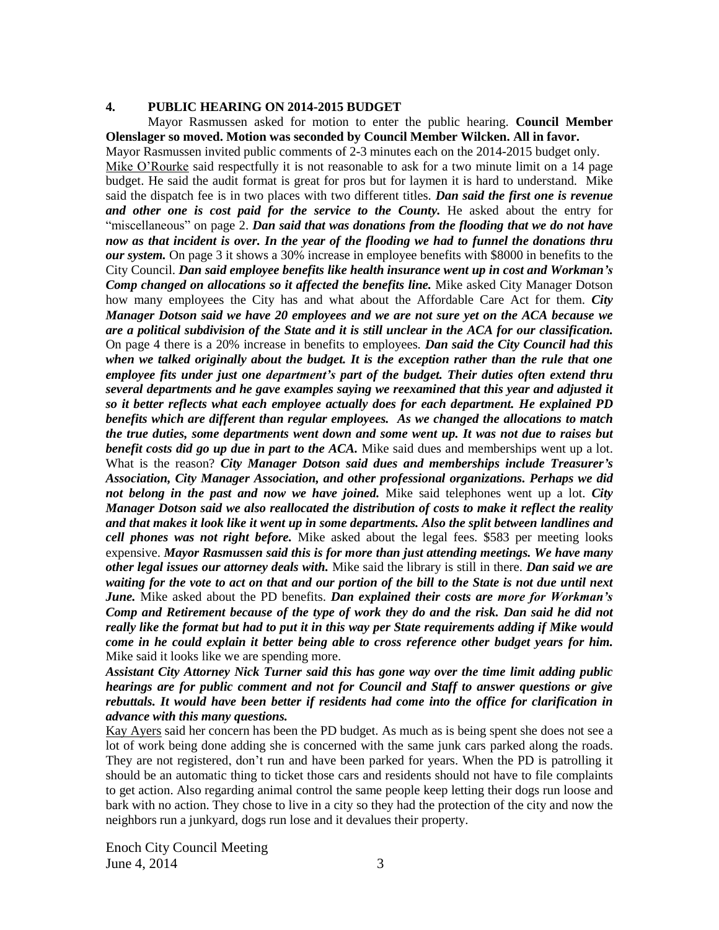### **4. PUBLIC HEARING ON 2014-2015 BUDGET**

Mayor Rasmussen asked for motion to enter the public hearing. **Council Member Olenslager so moved. Motion was seconded by Council Member Wilcken. All in favor.**

Mayor Rasmussen invited public comments of 2-3 minutes each on the 2014-2015 budget only. Mike O'Rourke said respectfully it is not reasonable to ask for a two minute limit on a 14 page budget. He said the audit format is great for pros but for laymen it is hard to understand. Mike said the dispatch fee is in two places with two different titles. *Dan said the first one is revenue and other one is cost paid for the service to the County.* He asked about the entry for "miscellaneous" on page 2. *Dan said that was donations from the flooding that we do not have now as that incident is over. In the year of the flooding we had to funnel the donations thru our system.* On page 3 it shows a 30% increase in employee benefits with \$8000 in benefits to the City Council. *Dan said employee benefits like health insurance went up in cost and Workman's Comp changed on allocations so it affected the benefits line.* Mike asked City Manager Dotson how many employees the City has and what about the Affordable Care Act for them. *City Manager Dotson said we have 20 employees and we are not sure yet on the ACA because we are a political subdivision of the State and it is still unclear in the ACA for our classification.* On page 4 there is a 20% increase in benefits to employees*. Dan said the City Council had this when we talked originally about the budget. It is the exception rather than the rule that one employee fits under just one department's part of the budget. Their duties often extend thru several departments and he gave examples saying we reexamined that this year and adjusted it so it better reflects what each employee actually does for each department. He explained PD benefits which are different than regular employees.**As we changed the allocations to match the true duties, some departments went down and some went up. It was not due to raises but benefit costs did go up due in part to the ACA.* Mike said dues and memberships went up a lot. What is the reason? *City Manager Dotson said dues and memberships include Treasurer's Association, City Manager Association, and other professional organizations. Perhaps we did not belong in the past and now we have joined.* Mike said telephones went up a lot. *City Manager Dotson said we also reallocated the distribution of costs to make it reflect the reality and that makes it look like it went up in some departments. Also the split between landlines and cell phones was not right before.* Mike asked about the legal fees. \$583 per meeting looks expensive. *Mayor Rasmussen said this is for more than just attending meetings. We have many other legal issues our attorney deals with.* Mike said the library is still in there. *Dan said we are waiting for the vote to act on that and our portion of the bill to the State is not due until next June.* Mike asked about the PD benefits. *Dan explained their costs are more for Workman's Comp and Retirement because of the type of work they do and the risk. Dan said he did not really like the format but had to put it in this way per State requirements adding if Mike would come in he could explain it better being able to cross reference other budget years for him.* Mike said it looks like we are spending more.

*Assistant City Attorney Nick Turner said this has gone way over the time limit adding public hearings are for public comment and not for Council and Staff to answer questions or give rebuttals. It would have been better if residents had come into the office for clarification in advance with this many questions.*

Kay Ayers said her concern has been the PD budget. As much as is being spent she does not see a lot of work being done adding she is concerned with the same junk cars parked along the roads. They are not registered, don't run and have been parked for years. When the PD is patrolling it should be an automatic thing to ticket those cars and residents should not have to file complaints to get action. Also regarding animal control the same people keep letting their dogs run loose and bark with no action. They chose to live in a city so they had the protection of the city and now the neighbors run a junkyard, dogs run lose and it devalues their property.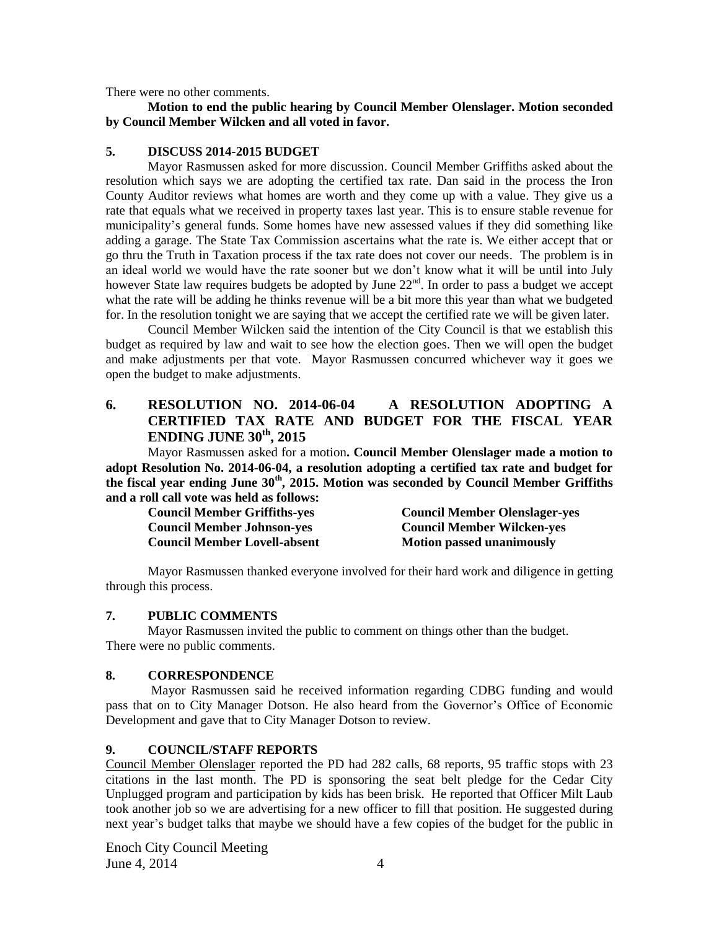There were no other comments.

**Motion to end the public hearing by Council Member Olenslager. Motion seconded by Council Member Wilcken and all voted in favor.** 

### **5. DISCUSS 2014-2015 BUDGET**

Mayor Rasmussen asked for more discussion. Council Member Griffiths asked about the resolution which says we are adopting the certified tax rate. Dan said in the process the Iron County Auditor reviews what homes are worth and they come up with a value. They give us a rate that equals what we received in property taxes last year. This is to ensure stable revenue for municipality's general funds. Some homes have new assessed values if they did something like adding a garage. The State Tax Commission ascertains what the rate is. We either accept that or go thru the Truth in Taxation process if the tax rate does not cover our needs. The problem is in an ideal world we would have the rate sooner but we don't know what it will be until into July however State law requires budgets be adopted by June 22<sup>nd</sup>. In order to pass a budget we accept what the rate will be adding he thinks revenue will be a bit more this year than what we budgeted for. In the resolution tonight we are saying that we accept the certified rate we will be given later.

Council Member Wilcken said the intention of the City Council is that we establish this budget as required by law and wait to see how the election goes. Then we will open the budget and make adjustments per that vote. Mayor Rasmussen concurred whichever way it goes we open the budget to make adjustments.

# **6. RESOLUTION NO. 2014-06-04 A RESOLUTION ADOPTING A CERTIFIED TAX RATE AND BUDGET FOR THE FISCAL YEAR ENDING JUNE 30th , 2015**

Mayor Rasmussen asked for a motion**. Council Member Olenslager made a motion to adopt Resolution No. 2014-06-04, a resolution adopting a certified tax rate and budget for the fiscal year ending June 30th, 2015. Motion was seconded by Council Member Griffiths and a roll call vote was held as follows:**

| <b>Council Member Griffiths-yes</b> | <b>Council Member Olenslager-yes</b> |
|-------------------------------------|--------------------------------------|
| <b>Council Member Johnson-yes</b>   | <b>Council Member Wilcken-yes</b>    |
| <b>Council Member Lovell-absent</b> | <b>Motion passed unanimously</b>     |

Mayor Rasmussen thanked everyone involved for their hard work and diligence in getting through this process.

### **7. PUBLIC COMMENTS**

Mayor Rasmussen invited the public to comment on things other than the budget. There were no public comments.

### **8. CORRESPONDENCE**

Mayor Rasmussen said he received information regarding CDBG funding and would pass that on to City Manager Dotson. He also heard from the Governor's Office of Economic Development and gave that to City Manager Dotson to review.

### **9. COUNCIL/STAFF REPORTS**

Council Member Olenslager reported the PD had 282 calls, 68 reports, 95 traffic stops with 23 citations in the last month. The PD is sponsoring the seat belt pledge for the Cedar City Unplugged program and participation by kids has been brisk. He reported that Officer Milt Laub took another job so we are advertising for a new officer to fill that position. He suggested during next year's budget talks that maybe we should have a few copies of the budget for the public in